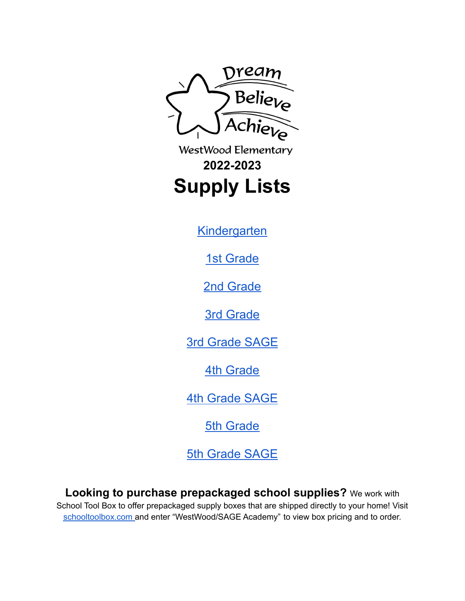

WestWood Elementary **2022-2023 Supply Lists**

**[Kindergarten](#page-1-0)** 

1st [Grade](#page-2-0)

2nd [Grade](#page-3-0)

3rd [Grade](#page-4-0)

3rd [Grade](#page-5-0) SAGE

4th [Grade](#page-6-0)

4th [Grade](#page-7-0) SAGE

5th [Grade](#page-8-0)

5th [Grade](#page-9-0) SAGE

**Looking to purchase prepackaged school supplies?** We work with School Tool Box to offer prepackaged supply boxes that are shipped directly to your home! Visit [schooltoolbox.com](http://schooltoolbox.com) and enter "WestWood/SAGE Academy" to view box pricing and to order.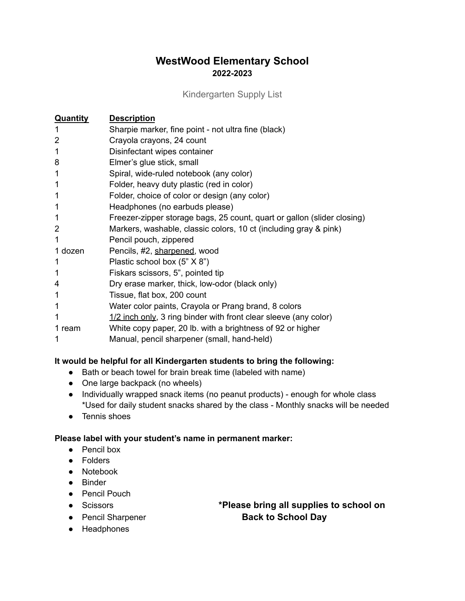Kindergarten Supply List

<span id="page-1-0"></span>

| <b>Quantity</b> | <b>Description</b>                                                      |
|-----------------|-------------------------------------------------------------------------|
|                 | Sharpie marker, fine point - not ultra fine (black)                     |
| 2               | Crayola crayons, 24 count                                               |
| 1               | Disinfectant wipes container                                            |
| 8               | Elmer's glue stick, small                                               |
|                 | Spiral, wide-ruled notebook (any color)                                 |
|                 | Folder, heavy duty plastic (red in color)                               |
| 1               | Folder, choice of color or design (any color)                           |
| 1               | Headphones (no earbuds please)                                          |
|                 | Freezer-zipper storage bags, 25 count, quart or gallon (slider closing) |
| 2               | Markers, washable, classic colors, 10 ct (including gray & pink)        |
| 1               | Pencil pouch, zippered                                                  |
| 1 dozen         | Pencils, #2, sharpened, wood                                            |
|                 | Plastic school box (5" X 8")                                            |
|                 | Fiskars scissors, 5", pointed tip                                       |
| 4               | Dry erase marker, thick, low-odor (black only)                          |
| 1               | Tissue, flat box, 200 count                                             |
| 1               | Water color paints, Crayola or Prang brand, 8 colors                    |
| 1               | $1/2$ inch only, 3 ring binder with front clear sleeve (any color)      |
| 1 ream          | White copy paper, 20 lb. with a brightness of 92 or higher              |
|                 | Manual, pencil sharpener (small, hand-held)                             |

### **It would be helpful for all Kindergarten students to bring the following:**

- Bath or beach towel for brain break time (labeled with name)
- One large backpack (no wheels)
- Individually wrapped snack items (no peanut products) enough for whole class \*Used for daily student snacks shared by the class - Monthly snacks will be needed
- Tennis shoes

### **Please label with your student's name in permanent marker:**

- Pencil box
- Folders
- Notebook
- Binder
- Pencil Pouch
- 
- 
- Scissors **\*Please bring all supplies to school on** ● Pencil Sharpener **Back to School Day**
- Headphones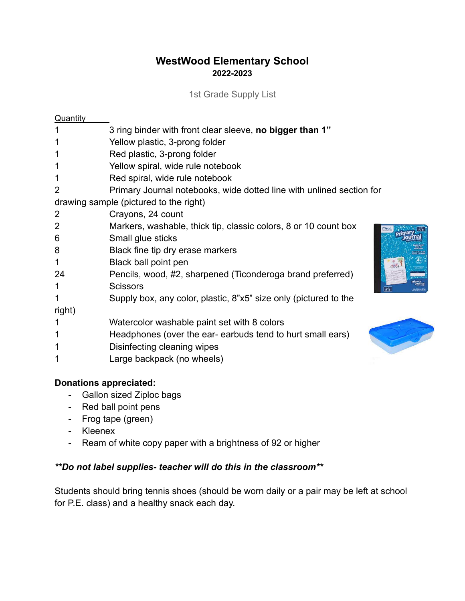1st Grade Supply List

<span id="page-2-0"></span>

| Quantity       |                                                                      |
|----------------|----------------------------------------------------------------------|
|                | 3 ring binder with front clear sleeve, no bigger than 1"             |
|                | Yellow plastic, 3-prong folder                                       |
| 1              | Red plastic, 3-prong folder                                          |
| 1              | Yellow spiral, wide rule notebook                                    |
| 1              | Red spiral, wide rule notebook                                       |
| $\overline{2}$ | Primary Journal notebooks, wide dotted line with unlined section for |
|                | drawing sample (pictured to the right)                               |
| 2              | Crayons, 24 count                                                    |
| $\overline{2}$ | Markers, washable, thick tip, classic colors, 8 or 10 count box      |
| 6              | Pril<br>Small glue sticks                                            |
| 8              | Black fine tip dry erase markers                                     |
| 1              | Black ball point pen                                                 |
| 24             | Pencils, wood, #2, sharpened (Ticonderoga brand preferred)           |
| 1              | <b>Scissors</b><br>$\sqrt{\frac{1}{K-2}}$                            |
| 1              | Supply box, any color, plastic, 8"x5" size only (pictured to the     |
| right)         |                                                                      |
| 1              | Watercolor washable paint set with 8 colors                          |
| 1              | Headphones (over the ear-earbuds tend to hurt small ears)            |
| 1              | Disinfecting cleaning wipes                                          |
|                | Large backpack (no wheels)                                           |

## **Donations appreciated:**

- Gallon sized Ziploc bags
- Red ball point pens
- Frog tape (green)
- Kleenex
- Ream of white copy paper with a brightness of 92 or higher

## *\*\*Do not label supplies- teacher will do this in the classroom\*\**

Students should bring tennis shoes (should be worn daily or a pair may be left at school for P.E. class) and a healthy snack each day.



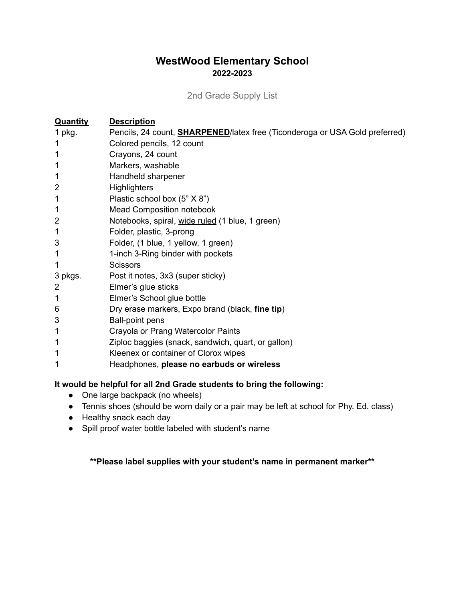2nd Grade Supply List

<span id="page-3-0"></span>

| <b>Quantity</b> | <b>Description</b>                                                                  |
|-----------------|-------------------------------------------------------------------------------------|
| 1 $pkg$ .       | Pencils, 24 count, <b>SHARPENED</b> /latex free (Ticonderoga or USA Gold preferred) |
| 1               | Colored pencils, 12 count                                                           |
| 1               | Crayons, 24 count                                                                   |
| 1               | Markers, washable                                                                   |
|                 | Handheld sharpener                                                                  |
| 2               | <b>Highlighters</b>                                                                 |
| 1               | Plastic school box (5" X 8")                                                        |
| 1               | <b>Mead Composition notebook</b>                                                    |
| $\overline{2}$  | Notebooks, spiral, wide ruled (1 blue, 1 green)                                     |
| 1               | Folder, plastic, 3-prong                                                            |
| 3               | Folder, (1 blue, 1 yellow, 1 green)                                                 |
| 1               | 1-inch 3-Ring binder with pockets                                                   |
| 1               | <b>Scissors</b>                                                                     |
| 3 pkgs.         | Post it notes, 3x3 (super sticky)                                                   |
| 2               | Elmer's glue sticks                                                                 |
| 1               | Elmer's School glue bottle                                                          |
| 6               | Dry erase markers, Expo brand (black, fine tip)                                     |
| 3               | <b>Ball-point pens</b>                                                              |
| 1               | Crayola or Prang Watercolor Paints                                                  |
| 1               | Ziploc baggies (snack, sandwich, quart, or gallon)                                  |
|                 | Kleenex or container of Clorox wipes                                                |
|                 | Headphones, please no earbuds or wireless                                           |

## **It would be helpful for all 2nd Grade students to bring the following:**

- One large backpack (no wheels)
- Tennis shoes (should be worn daily or a pair may be left at school for Phy. Ed. class)
- Healthy snack each day
- Spill proof water bottle labeled with student's name

## **\*\*Please label supplies with your student's name in permanent marker\*\***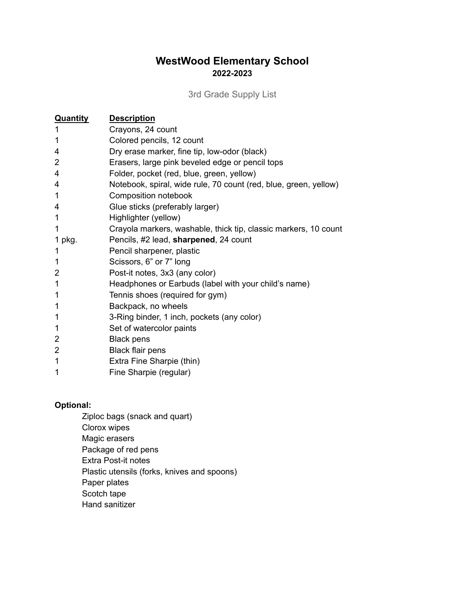3rd Grade Supply List

<span id="page-4-0"></span>

| <b>Quantity</b> | <b>Description</b>                                               |
|-----------------|------------------------------------------------------------------|
| 1               | Crayons, 24 count                                                |
| 1               | Colored pencils, 12 count                                        |
| 4               | Dry erase marker, fine tip, low-odor (black)                     |
| 2               | Erasers, large pink beveled edge or pencil tops                  |
| 4               | Folder, pocket (red, blue, green, yellow)                        |
| 4               | Notebook, spiral, wide rule, 70 count (red, blue, green, yellow) |
| 1               | Composition notebook                                             |
| 4               | Glue sticks (preferably larger)                                  |
| 1               | Highlighter (yellow)                                             |
| 1               | Crayola markers, washable, thick tip, classic markers, 10 count  |
| 1 pkg.          | Pencils, #2 lead, sharpened, 24 count                            |
| 1               | Pencil sharpener, plastic                                        |
| 1               | Scissors, 6" or 7" long                                          |
| 2               | Post-it notes, 3x3 (any color)                                   |
|                 | Headphones or Earbuds (label with your child's name)             |
|                 | Tennis shoes (required for gym)                                  |
|                 | Backpack, no wheels                                              |
| 1               | 3-Ring binder, 1 inch, pockets (any color)                       |
| 1               | Set of watercolor paints                                         |
| 2               | <b>Black pens</b>                                                |
| 2               | Black flair pens                                                 |
| 1               | Extra Fine Sharpie (thin)                                        |
| 1               | Fine Sharpie (regular)                                           |

## **Optional:**

- Ziploc bags (snack and quart)
- Clorox wipes
- Magic erasers
- Package of red pens
- Extra Post-it notes
- Plastic utensils (forks, knives and spoons)
- Paper plates
- Scotch tape
- Hand sanitizer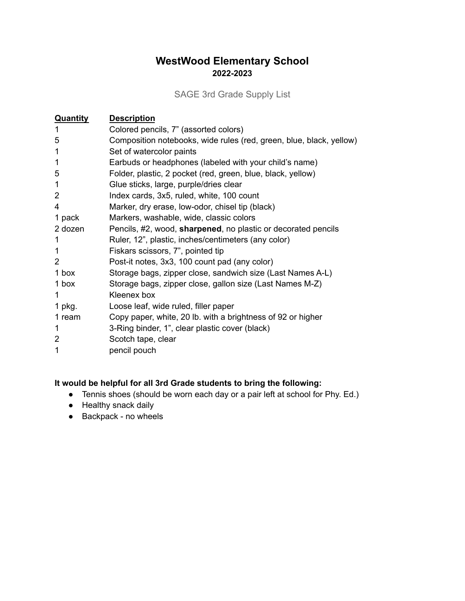SAGE 3rd Grade Supply List

<span id="page-5-0"></span>

| <b>Quantity</b> | <b>Description</b>                                                  |
|-----------------|---------------------------------------------------------------------|
|                 | Colored pencils, 7" (assorted colors)                               |
| 5               | Composition notebooks, wide rules (red, green, blue, black, yellow) |
|                 | Set of watercolor paints                                            |
|                 | Earbuds or headphones (labeled with your child's name)              |
| 5               | Folder, plastic, 2 pocket (red, green, blue, black, yellow)         |
| 1               | Glue sticks, large, purple/dries clear                              |
| 2               | Index cards, 3x5, ruled, white, 100 count                           |
| 4               | Marker, dry erase, low-odor, chisel tip (black)                     |
| 1 pack          | Markers, washable, wide, classic colors                             |
| 2 dozen         | Pencils, #2, wood, sharpened, no plastic or decorated pencils       |
|                 | Ruler, 12", plastic, inches/centimeters (any color)                 |
| 1               | Fiskars scissors, 7", pointed tip                                   |
| 2               | Post-it notes, 3x3, 100 count pad (any color)                       |
| 1 box           | Storage bags, zipper close, sandwich size (Last Names A-L)          |
| 1 box           | Storage bags, zipper close, gallon size (Last Names M-Z)            |
| 1               | Kleenex box                                                         |
| 1 $pkg.$        | Loose leaf, wide ruled, filler paper                                |
| 1 ream          | Copy paper, white, 20 lb. with a brightness of 92 or higher         |
| 1               | 3-Ring binder, 1", clear plastic cover (black)                      |
| 2               | Scotch tape, clear                                                  |
|                 | pencil pouch                                                        |

### **It would be helpful for all 3rd Grade students to bring the following:**

- Tennis shoes (should be worn each day or a pair left at school for Phy. Ed.)
- Healthy snack daily
- Backpack no wheels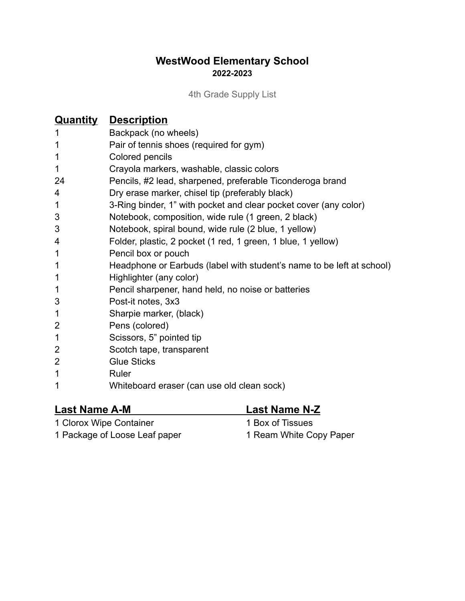4th Grade Supply List

<span id="page-6-0"></span>

|                | <b>Quantity Description</b>                                           |
|----------------|-----------------------------------------------------------------------|
|                | Backpack (no wheels)                                                  |
| 1              | Pair of tennis shoes (required for gym)                               |
| 1              | Colored pencils                                                       |
| 1              | Crayola markers, washable, classic colors                             |
| 24             | Pencils, #2 lead, sharpened, preferable Ticonderoga brand             |
| 4              | Dry erase marker, chisel tip (preferably black)                       |
| 1              | 3-Ring binder, 1" with pocket and clear pocket cover (any color)      |
| 3              | Notebook, composition, wide rule (1 green, 2 black)                   |
| 3              | Notebook, spiral bound, wide rule (2 blue, 1 yellow)                  |
| 4              | Folder, plastic, 2 pocket (1 red, 1 green, 1 blue, 1 yellow)          |
| 1              | Pencil box or pouch                                                   |
| 1              | Headphone or Earbuds (label with student's name to be left at school) |
| 1              | Highlighter (any color)                                               |
| 1              | Pencil sharpener, hand held, no noise or batteries                    |
| 3              | Post-it notes, 3x3                                                    |
| 1              | Sharpie marker, (black)                                               |
| $\overline{2}$ | Pens (colored)                                                        |
| 1              | Scissors, 5" pointed tip                                              |
| 2              | Scotch tape, transparent                                              |
| $\overline{2}$ | <b>Glue Sticks</b>                                                    |
| 1              | Ruler                                                                 |
| 1              | Whiteboard eraser (can use old clean sock)                            |

# **Last Name A-M Last Name N-Z**

1 Clorox Wipe Container 1 Box of Tissues

1 Package of Loose Leaf paper 1 Ream White Copy Paper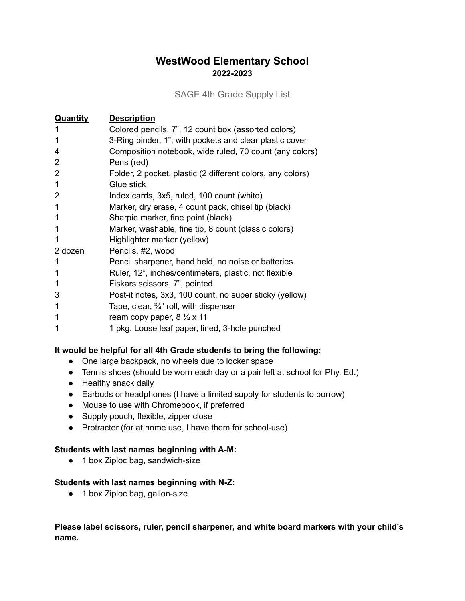#### SAGE 4th Grade Supply List

<span id="page-7-0"></span>

| <b>Quantity</b> | <b>Description</b>                                         |
|-----------------|------------------------------------------------------------|
|                 | Colored pencils, 7", 12 count box (assorted colors)        |
|                 | 3-Ring binder, 1", with pockets and clear plastic cover    |
| 4               | Composition notebook, wide ruled, 70 count (any colors)    |
| 2               | Pens (red)                                                 |
| $\overline{2}$  | Folder, 2 pocket, plastic (2 different colors, any colors) |
| 1               | Glue stick                                                 |
| 2               | Index cards, 3x5, ruled, 100 count (white)                 |
|                 | Marker, dry erase, 4 count pack, chisel tip (black)        |
|                 | Sharpie marker, fine point (black)                         |
|                 | Marker, washable, fine tip, 8 count (classic colors)       |
|                 | Highlighter marker (yellow)                                |
| 2 dozen         | Pencils, #2, wood                                          |
|                 | Pencil sharpener, hand held, no noise or batteries         |
|                 | Ruler, 12", inches/centimeters, plastic, not flexible      |
|                 | Fiskars scissors, 7", pointed                              |
| 3               | Post-it notes, 3x3, 100 count, no super sticky (yellow)    |
| 1               | Tape, clear, $\frac{3}{4}$ " roll, with dispenser          |
|                 | ream copy paper, $8\frac{1}{2} \times 11$                  |
|                 | 1 pkg. Loose leaf paper, lined, 3-hole punched             |

### **It would be helpful for all 4th Grade students to bring the following:**

- One large backpack, no wheels due to locker space
- Tennis shoes (should be worn each day or a pair left at school for Phy. Ed.)
- Healthy snack daily
- Earbuds or headphones (I have a limited supply for students to borrow)
- Mouse to use with Chromebook, if preferred
- Supply pouch, flexible, zipper close
- Protractor (for at home use, I have them for school-use)

#### **Students with last names beginning with A-M:**

● 1 box Ziploc bag, sandwich-size

#### **Students with last names beginning with N-Z:**

● 1 box Ziploc bag, gallon-size

**Please label scissors, ruler, pencil sharpener, and white board markers with your child's name.**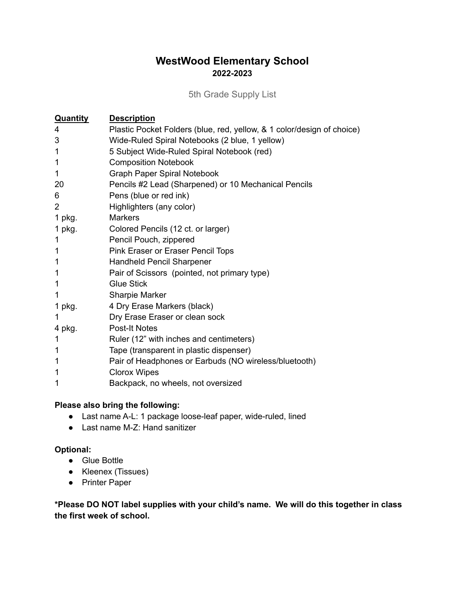5th Grade Supply List

<span id="page-8-0"></span>

| <b>Quantity</b> | <b>Description</b>                                                     |
|-----------------|------------------------------------------------------------------------|
| 4               | Plastic Pocket Folders (blue, red, yellow, & 1 color/design of choice) |
| 3               | Wide-Ruled Spiral Notebooks (2 blue, 1 yellow)                         |
| 1               | 5 Subject Wide-Ruled Spiral Notebook (red)                             |
| 1               | <b>Composition Notebook</b>                                            |
| 1               | <b>Graph Paper Spiral Notebook</b>                                     |
| 20              | Pencils #2 Lead (Sharpened) or 10 Mechanical Pencils                   |
| 6               | Pens (blue or red ink)                                                 |
| $\mathbf{2}$    | Highlighters (any color)                                               |
| 1 $pkg.$        | <b>Markers</b>                                                         |
| 1 pkg.          | Colored Pencils (12 ct. or larger)                                     |
| 1               | Pencil Pouch, zippered                                                 |
| 1               | Pink Eraser or Eraser Pencil Tops                                      |
| 1               | <b>Handheld Pencil Sharpener</b>                                       |
|                 | Pair of Scissors (pointed, not primary type)                           |
| 1               | <b>Glue Stick</b>                                                      |
| 1               | <b>Sharpie Marker</b>                                                  |
| 1 pkg.          | 4 Dry Erase Markers (black)                                            |
|                 | Dry Erase Eraser or clean sock                                         |
| 4 pkg.          | <b>Post-It Notes</b>                                                   |
| 1               | Ruler (12" with inches and centimeters)                                |
| 1               | Tape (transparent in plastic dispenser)                                |
|                 | Pair of Headphones or Earbuds (NO wireless/bluetooth)                  |
|                 | <b>Clorox Wipes</b>                                                    |
|                 | Backpack, no wheels, not oversized                                     |

### **Please also bring the following:**

- Last name A-L: 1 package loose-leaf paper, wide-ruled, lined
- Last name M-Z: Hand sanitizer

### **Optional:**

- Glue Bottle
- Kleenex (Tissues)
- Printer Paper

**\*Please DO NOT label supplies with your child's name. We will do this together in class the first week of school.**